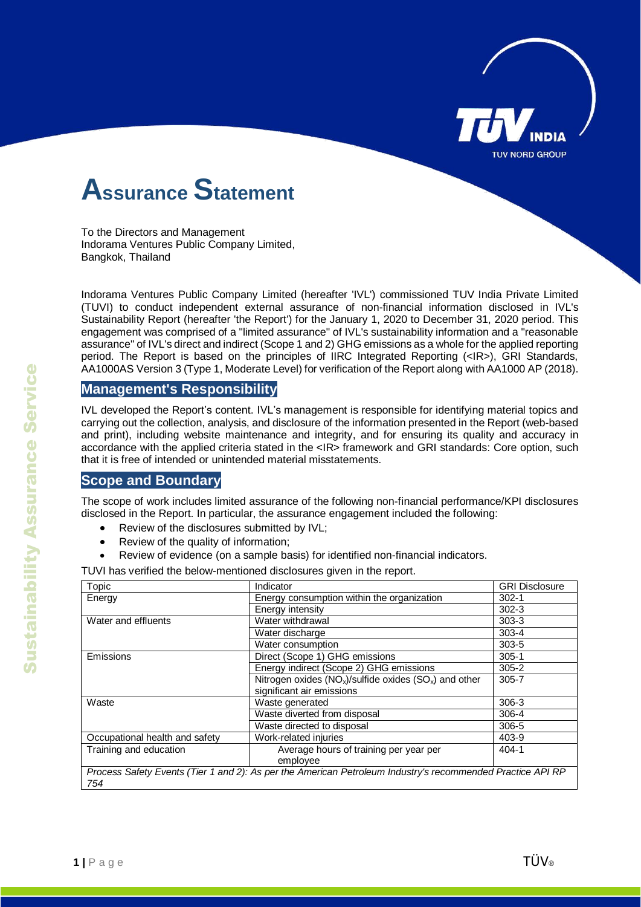

## **Assurance Statement**

To the Directors and Management Indorama Ventures Public Company Limited, Bangkok, Thailand

Indorama Ventures Public Company Limited (hereafter 'IVL') commissioned TUV India Private Limited (TUVI) to conduct independent external assurance of non-financial information disclosed in IVL's Sustainability Report (hereafter 'the Report') for the January 1, 2020 to December 31, 2020 period. This engagement was comprised of a "limited assurance" of IVL's sustainability information and a "reasonable assurance" of IVL's direct and indirect (Scope 1 and 2) GHG emissions as a whole for the applied reporting period. The Report is based on the principles of IIRC Integrated Reporting (<IR>), GRI Standards, AA1000AS Version 3 (Type 1, Moderate Level) for verification of the Report along with AA1000 AP (2018).

#### **Management's Responsibility**

IVL developed the Report's content. IVL's management is responsible for identifying material topics and carrying out the collection, analysis, and disclosure of the information presented in the Report (web-based and print), including website maintenance and integrity, and for ensuring its quality and accuracy in accordance with the applied criteria stated in the <IR> framework and GRI standards: Core option, such that it is free of intended or unintended material misstatements.

#### **Scope and Boundary**

The scope of work includes limited assurance of the following non-financial performance/KPI disclosures disclosed in the Report. In particular, the assurance engagement included the following:

- Review of the disclosures submitted by IVL;
- Review of the quality of information;
- Review of evidence (on a sample basis) for identified non-financial indicators.

TUVI has verified the below-mentioned disclosures given in the report.

| Topic                                                                                                      | Indicator                                                   | <b>GRI Disclosure</b> |
|------------------------------------------------------------------------------------------------------------|-------------------------------------------------------------|-----------------------|
| Energy                                                                                                     | Energy consumption within the organization                  | $302 - 1$             |
|                                                                                                            | Energy intensity                                            | $302 - 3$             |
| Water and effluents                                                                                        | Water withdrawal                                            | $303 - 3$             |
|                                                                                                            | Water discharge                                             | $303 - 4$             |
|                                                                                                            | Water consumption                                           | $303 - 5$             |
| Emissions                                                                                                  | Direct (Scope 1) GHG emissions                              | $305 - 1$             |
|                                                                                                            | Energy indirect (Scope 2) GHG emissions                     | $305 - 2$             |
|                                                                                                            | Nitrogen oxides $(NO_x)/s$ ulfide oxides $(SO_x)$ and other | $305 - 7$             |
|                                                                                                            | significant air emissions                                   |                       |
| Waste                                                                                                      | Waste generated                                             | $306-3$               |
|                                                                                                            | Waste diverted from disposal                                | 306-4                 |
|                                                                                                            | Waste directed to disposal                                  | 306-5                 |
| Occupational health and safety                                                                             | Work-related injuries                                       | 403-9                 |
| Training and education                                                                                     | Average hours of training per year per                      | $404 - 1$             |
|                                                                                                            | employee                                                    |                       |
| Process Safety Events (Tier 1 and 2): As per the American Petroleum Industry's recommended Practice API RP |                                                             |                       |
| 754                                                                                                        |                                                             |                       |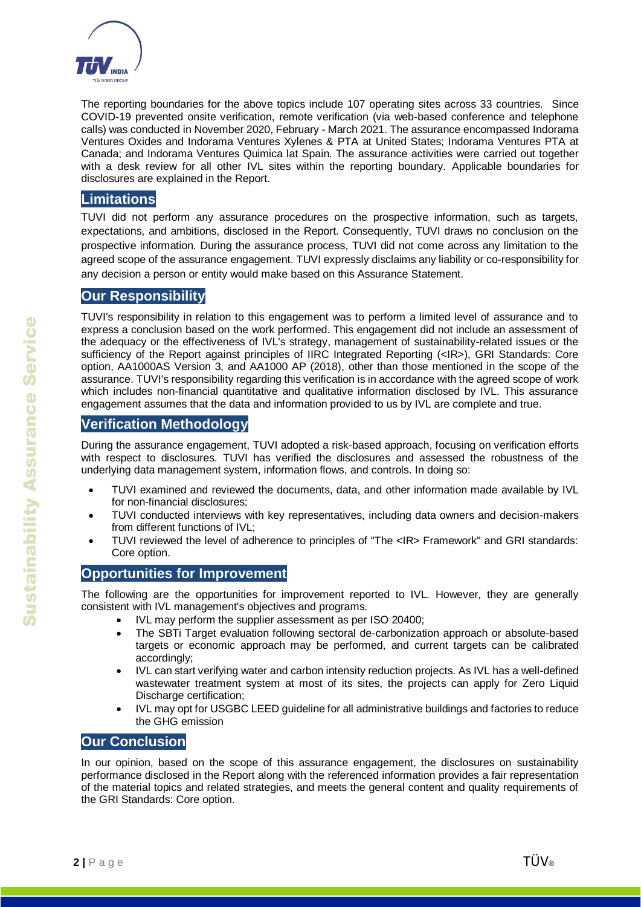

The reporting boundaries for the above topics include 107 operating sites across 33 countries. Since COVID-19 prevented onsite verification, remote verification (via web-based conference and telephone calls) was conducted in November 2020, February - March 2021. The assurance encompassed Indorama Ventures Oxides and Indorama Ventures Xylenes & PTA at United States; Indorama Ventures PTA at Canada; and Indorama Ventures Quimica lat Spain. The assurance activities were carried out together with a desk review for all other IVL sites within the reporting boundary. Applicable boundaries for disclosures are explained in the Report.

#### **Limitations**

TUVI did not perform any assurance procedures on the prospective information, such as targets, expectations, and ambitions, disclosed in the Report. Consequently, TUVI draws no conclusion on the prospective information. During the assurance process, TUVI did not come across any limitation to the agreed scope of the assurance engagement. TUVI expressly disclaims any liability or co-responsibility for any decision a person or entity would make based on this Assurance Statement.

#### **Our Responsibility**

TUVI's responsibility in relation to this engagement was to perform a limited level of assurance and to express a conclusion based on the work performed. This engagement did not include an assessment of the adequacy or the effectiveness of IVL's strategy, management of sustainability-related issues or the sufficiency of the Report against principles of IIRC Integrated Reporting (<IR>), GRI Standards: Core option, AA1000AS Version 3, and AA1000 AP (2018), other than those mentioned in the scope of the assurance. TUVI's responsibility regarding this verification is in accordance with the agreed scope of work which includes non-financial quantitative and qualitative information disclosed by IVL. This assurance engagement assumes that the data and information provided to us by IVL are complete and true.

#### **Verification Methodology**

During the assurance engagement, TUVI adopted a risk-based approach, focusing on verification efforts with respect to disclosures. TUVI has verified the disclosures and assessed the robustness of the underlying data management system, information flows, and controls. In doing so:

- TUVI examined and reviewed the documents, data, and other information made available by IVL for non-financial disclosures;
- TUVI conducted interviews with key representatives, including data owners and decision-makers from different functions of IVL;
- TUVI reviewed the level of adherence to principles of "The <IR> Framework" and GRI standards: Core option.

#### **Opportunities for Improvement**

The following are the opportunities for improvement reported to IVL. However, they are generally consistent with IVL management's objectives and programs.

- IVL may perform the supplier assessment as per ISO 20400;
- The SBTi Target evaluation following sectoral de-carbonization approach or absolute-based targets or economic approach may be performed, and current targets can be calibrated accordingly;
- IVL can start verifying water and carbon intensity reduction projects. As IVL has a well-defined wastewater treatment system at most of its sites, the projects can apply for Zero Liquid Discharge certification;
- IVL may opt for USGBC LEED guideline for all administrative buildings and factories to reduce the GHG emission

#### **Our Conclusion**

In our opinion, based on the scope of this assurance engagement, the disclosures on sustainability performance disclosed in the Report along with the referenced information provides a fair representation of the material topics and related strategies, and meets the general content and quality requirements of the GRI Standards: Core option.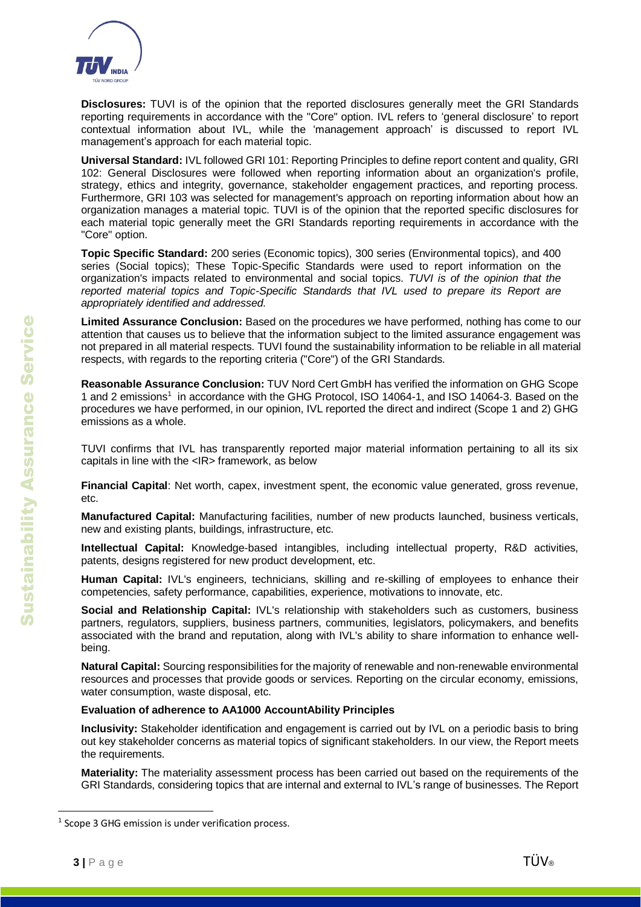

**Disclosures:** TUVI is of the opinion that the reported disclosures generally meet the GRI Standards reporting requirements in accordance with the "Core" option. IVL refers to 'general disclosure' to report contextual information about IVL, while the 'management approach' is discussed to report IVL management's approach for each material topic.

**Universal Standard:** IVL followed GRI 101: Reporting Principles to define report content and quality, GRI 102: General Disclosures were followed when reporting information about an organization's profile, strategy, ethics and integrity, governance, stakeholder engagement practices, and reporting process. Furthermore, GRI 103 was selected for management's approach on reporting information about how an organization manages a material topic. TUVI is of the opinion that the reported specific disclosures for each material topic generally meet the GRI Standards reporting requirements in accordance with the "Core" option.

**Topic Specific Standard:** 200 series (Economic topics), 300 series (Environmental topics), and 400 series (Social topics); These Topic-Specific Standards were used to report information on the organization's impacts related to environmental and social topics. *TUVI is of the opinion that the reported material topics and Topic-Specific Standards that IVL used to prepare its Report are appropriately identified and addressed.*

**Limited Assurance Conclusion:** Based on the procedures we have performed, nothing has come to our attention that causes us to believe that the information subject to the limited assurance engagement was not prepared in all material respects. TUVI found the sustainability information to be reliable in all material respects, with regards to the reporting criteria ("Core") of the GRI Standards.

**Reasonable Assurance Conclusion:** TUV Nord Cert GmbH has verified the information on GHG Scope 1 and 2 emissions<sup>1</sup> in accordance with the GHG Protocol, ISO 14064-1, and ISO 14064-3. Based on the procedures we have performed, in our opinion, IVL reported the direct and indirect (Scope 1 and 2) GHG emissions as a whole.

TUVI confirms that IVL has transparently reported major material information pertaining to all its six capitals in line with the <IR> framework, as below

**Financial Capital**: Net worth, capex, investment spent, the economic value generated, gross revenue, etc.

**Manufactured Capital:** Manufacturing facilities, number of new products launched, business verticals, new and existing plants, buildings, infrastructure, etc.

**Intellectual Capital:** Knowledge-based intangibles, including intellectual property, R&D activities, patents, designs registered for new product development, etc.

**Human Capital:** IVL's engineers, technicians, skilling and re-skilling of employees to enhance their competencies, safety performance, capabilities, experience, motivations to innovate, etc.

**Social and Relationship Capital:** IVL's relationship with stakeholders such as customers, business partners, regulators, suppliers, business partners, communities, legislators, policymakers, and benefits associated with the brand and reputation, along with IVL's ability to share information to enhance wellbeing.

**Natural Capital:** Sourcing responsibilities for the majority of renewable and non-renewable environmental resources and processes that provide goods or services. Reporting on the circular economy, emissions, water consumption, waste disposal, etc.

#### **Evaluation of adherence to AA1000 AccountAbility Principles**

**Inclusivity:** Stakeholder identification and engagement is carried out by IVL on a periodic basis to bring out key stakeholder concerns as material topics of significant stakeholders. In our view, the Report meets the requirements.

**Materiality:** The materiality assessment process has been carried out based on the requirements of the GRI Standards, considering topics that are internal and external to IVL's range of businesses. The Report

 $\overline{a}$ 

<sup>&</sup>lt;sup>1</sup> Scope 3 GHG emission is under verification process.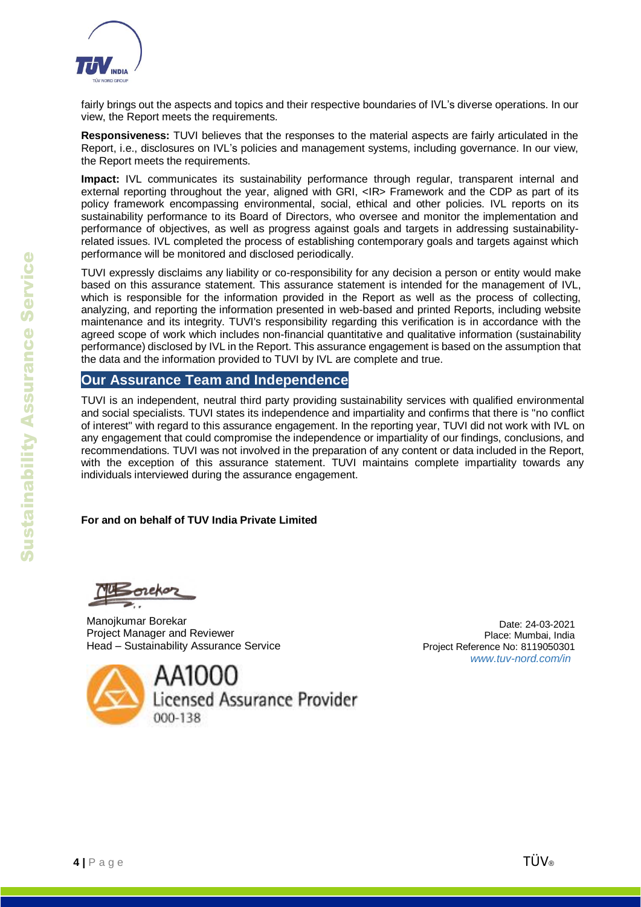

fairly brings out the aspects and topics and their respective boundaries of IVL's diverse operations. In our view, the Report meets the requirements.

**Responsiveness:** TUVI believes that the responses to the material aspects are fairly articulated in the Report, i.e., disclosures on IVL's policies and management systems, including governance. In our view, the Report meets the requirements.

**Impact:** IVL communicates its sustainability performance through regular, transparent internal and external reporting throughout the year, aligned with GRI, <IR> Framework and the CDP as part of its policy framework encompassing environmental, social, ethical and other policies. IVL reports on its sustainability performance to its Board of Directors, who oversee and monitor the implementation and performance of objectives, as well as progress against goals and targets in addressing sustainabilityrelated issues. IVL completed the process of establishing contemporary goals and targets against which performance will be monitored and disclosed periodically.

TUVI expressly disclaims any liability or co-responsibility for any decision a person or entity would make based on this assurance statement. This assurance statement is intended for the management of IVL, which is responsible for the information provided in the Report as well as the process of collecting, analyzing, and reporting the information presented in web-based and printed Reports, including website maintenance and its integrity. TUVI's responsibility regarding this verification is in accordance with the agreed scope of work which includes non-financial quantitative and qualitative information (sustainability performance) disclosed by IVL in the Report. This assurance engagement is based on the assumption that the data and the information provided to TUVI by IVL are complete and true.

#### **Our Assurance Team and Independence**

TUVI is an independent, neutral third party providing sustainability services with qualified environmental and social specialists. TUVI states its independence and impartiality and confirms that there is "no conflict of interest" with regard to this assurance engagement. In the reporting year, TUVI did not work with IVL on any engagement that could compromise the independence or impartiality of our findings, conclusions, and recommendations. TUVI was not involved in the preparation of any content or data included in the Report, with the exception of this assurance statement. TUVI maintains complete impartiality towards any individuals interviewed during the assurance engagement.

#### **For and on behalf of TUV India Private Limited**

Manojkumar Borekar Project Manager and Reviewer Head – Sustainability Assurance Service

AA1000 Licensed Assurance Provider 000-138

Date: 24-03-2021 Place: Mumbai, India Project Reference No: 8119050301 *[www.tuv-nord.com/in](http://www.tuv-nord.com/in)*